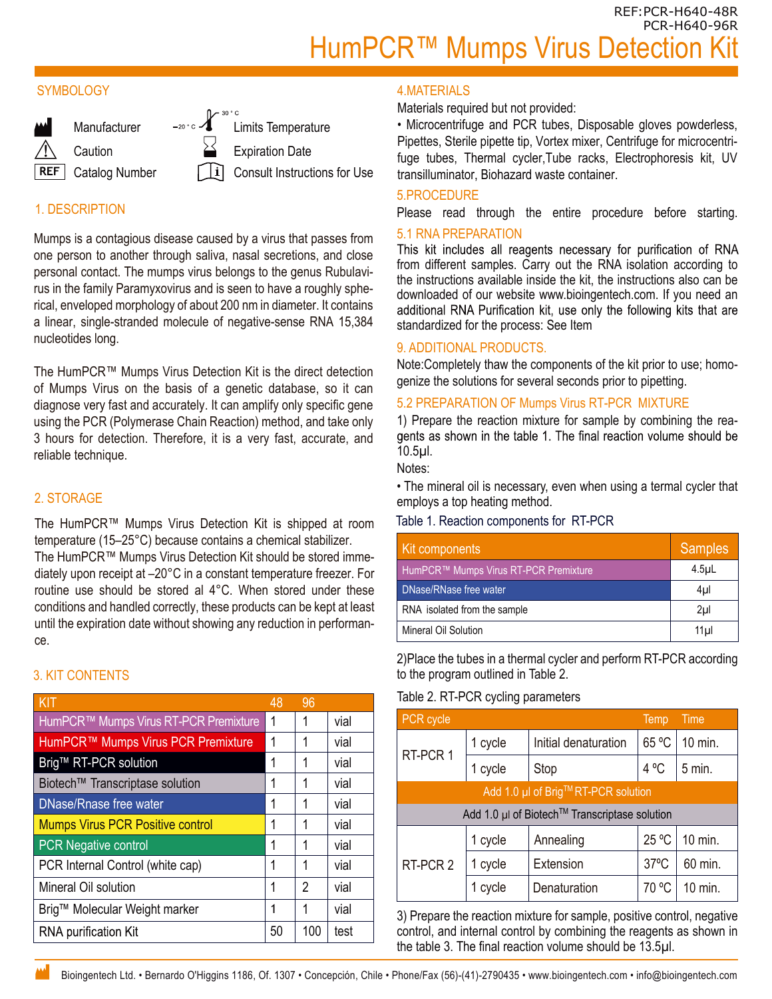REF:PCR-H640-48R PCR-H640-96R HumPCR™ Mumps Virus Detection I

#### **SYMBOLOGY**



## 1. DESCRIPTION

Mumps is a contagious disease caused by a virus that passes from one person to another through saliva, nasal secretions, and close personal contact. The mumps virus belongs to the genus Rubulavirus in the family Paramyxovirus and is seen to have a roughly spherical, enveloped morphology of about 200 nm in diameter. It contains a linear, single-stranded molecule of negative-sense RNA 15,384 nucleotides long.

The HumPCR™ Mumps Virus Detection Kit is the direct detection of Mumps Virus on the basis of a genetic database, so it can diagnose very fast and accurately. It can amplify only specific gene using the PCR (Polymerase Chain Reaction) method, and take only 3 hours for detection. Therefore, it is a very fast, accurate, and reliable technique.

## 2. STORAGE

The HumPCR™ Mumps Virus Detection Kit is shipped at room temperature (15–25°C) because contains a chemical stabilizer.

The HumPCR™ Mumps Virus Detection Kit should be stored immediately upon receipt at –20°C in a constant temperature freezer. For routine use should be stored al 4°C. When stored under these conditions and handled correctly, these products can be kept at least until the expiration date without showing any reduction in performance.

# 3. KIT CONTENTS

| KIT                                     | 48 | 96  |      |
|-----------------------------------------|----|-----|------|
| HumPCR™ Mumps Virus RT-PCR Premixture   | 1  | 1   | vial |
| HumPCR™ Mumps Virus PCR Premixture      | 1  | 1   | vial |
| Brig™ RT-PCR solution                   | 1  | 1   | vial |
| Biotech™ Transcriptase solution         | 1  | 1   | vial |
| <b>DNase/Rnase free water</b>           | 1  | 1   | vial |
| <b>Mumps Virus PCR Positive control</b> | 1  | 1   | vial |
| <b>PCR Negative control</b>             | 1  | 1   | vial |
| PCR Internal Control (white cap)        | 1  | 1   | vial |
| Mineral Oil solution                    | 1  | 2   | vial |
| Brig™ Molecular Weight marker           | 1  | 1   | vial |
| <b>RNA purification Kit</b>             | 50 | 100 | test |

#### 4.MATERIALS

Materials required but not provided:

• Microcentrifuge and PCR tubes, Disposable gloves powderless, Pipettes, Sterile pipette tip, Vortex mixer, Centrifuge for microcentrifuge tubes, Thermal cycler,Tube racks, Electrophoresis kit, UV transilluminator, Biohazard waste container.

#### 5.PROCEDURE

Please read through the entire procedure before starting.

5.1 RNA PREPARATION<br>This kit includes all reagents necessary for purification of RNA from different samples. Carry out the RNA isolation according to the instructions available inside the kit, the instructions also can be downloaded of our website www.bioingentech.com. If you need an additional RNA Purification kit, use only the following kits that are standardized for the process: See Item

#### 9. ADDITIONAL PRODUCTS.

Note:Completely thaw the components of the kit prior to use; homogenize the solutions for several seconds prior to pipetting.

#### 5.2 PREPARATION OF Mumps Virus RT-PCR MIXTURE

1) Prepare the reaction mixture for sample by combining the reagents as shown in the table 1. The final reaction volume should be 10.5µl.

Notes:

• The mineral oil is necessary, even when using a termal cycler that employs a top heating method.

#### Table 1. Reaction components for RT-PCR

| Kit components                        | <b>Samples</b> |
|---------------------------------------|----------------|
| HumPCR™ Mumps Virus RT-PCR Premixture | $4.5$ uL       |
| DNase/RNase free water                | 4µl            |
| RNA isolated from the sample          | 2 <sub>µ</sub> |
| Mineral Oil Solution                  | 11ul           |

2)Place the tubes in a thermal cycler and perform RT-PCR according to the program outlined in Table 2.

#### Table 2. RT-PCR cycling parameters

| PCR cycle                                     |         |                      | Temp           | Time     |  |
|-----------------------------------------------|---------|----------------------|----------------|----------|--|
| RT-PCR 1                                      | 1 cycle | Initial denaturation | 65 °C          | 10 min.  |  |
|                                               | 1 cycle | Stop                 | 4 °C           | $5$ min. |  |
| Add 1.0 µl of Brig™RT-PCR solution            |         |                      |                |          |  |
| Add 1.0 µl of Biotech™ Transcriptase solution |         |                      |                |          |  |
| RT-PCR 2                                      | 1 cycle | Annealing            | 25 °C          | 10 min.  |  |
|                                               | 1 cycle | Extension            | $37^{\circ}$ C | 60 min.  |  |
|                                               | 1 cycle | Denaturation         | 70 °C          | 10 min.  |  |

3) Prepare the reaction mixture for sample, positive control, negative control, and internal control by combining the reagents as shown in the table 3. The final reaction volume should be 13.5µl.

Bioingentech Ltd. • Bernardo O'Higgins 1186, Of. 1307 • Concepción, Chile • Phone/Fax (56)-(41)-2790435 • www.bioingentech.com • info@bioingentech.com